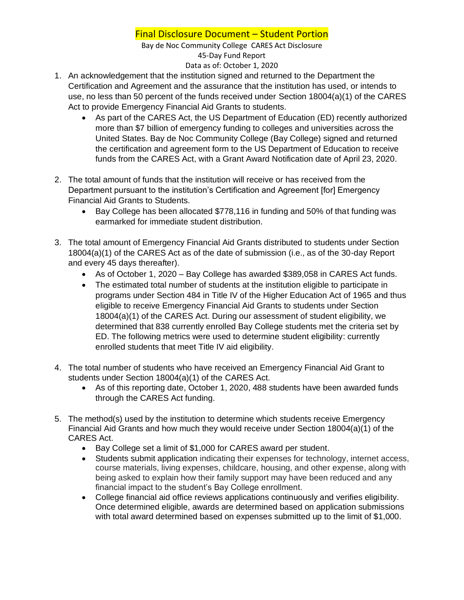## Final Disclosure Document – Student Portion

Bay de Noc Community College CARES Act Disclosure 45-Day Fund Report Data as of: October 1, 2020

- 1. An acknowledgement that the institution signed and returned to the Department the Certification and Agreement and the assurance that the institution has used, or intends to use, no less than 50 percent of the funds received under Section 18004(a)(1) of the CARES Act to provide Emergency Financial Aid Grants to students.
	- As part of the CARES Act, the US Department of Education (ED) recently authorized more than \$7 billion of emergency funding to colleges and universities across the United States. Bay de Noc Community College (Bay College) signed and returned the certification and agreement form to the US Department of Education to receive funds from the CARES Act, with a Grant Award Notification date of April 23, 2020.
- 2. The total amount of funds that the institution will receive or has received from the Department pursuant to the institution's Certification and Agreement [for] Emergency Financial Aid Grants to Students.
	- Bay College has been allocated \$778,116 in funding and 50% of that funding was earmarked for immediate student distribution.
- 3. The total amount of Emergency Financial Aid Grants distributed to students under Section 18004(a)(1) of the CARES Act as of the date of submission (i.e., as of the 30-day Report and every 45 days thereafter).
	- As of October 1, 2020 Bay College has awarded \$389,058 in CARES Act funds.
	- The estimated total number of students at the institution eligible to participate in programs under Section 484 in Title IV of the Higher Education Act of 1965 and thus eligible to receive Emergency Financial Aid Grants to students under Section 18004(a)(1) of the CARES Act. During our assessment of student eligibility, we determined that 838 currently enrolled Bay College students met the criteria set by ED. The following metrics were used to determine student eligibility: currently enrolled students that meet Title IV aid eligibility.
- 4. The total number of students who have received an Emergency Financial Aid Grant to students under Section 18004(a)(1) of the CARES Act.
	- As of this reporting date, October 1, 2020, 488 students have been awarded funds through the CARES Act funding.
- 5. The method(s) used by the institution to determine which students receive Emergency Financial Aid Grants and how much they would receive under Section 18004(a)(1) of the CARES Act.
	- Bay College set a limit of \$1,000 for CARES award per student.
	- Students submit application indicating their expenses for technology, internet access, course materials, living expenses, childcare, housing, and other expense, along with being asked to explain how their family support may have been reduced and any financial impact to the student's Bay College enrollment.
	- College financial aid office reviews applications continuously and verifies eligibility. Once determined eligible, awards are determined based on application submissions with total award determined based on expenses submitted up to the limit of \$1,000.